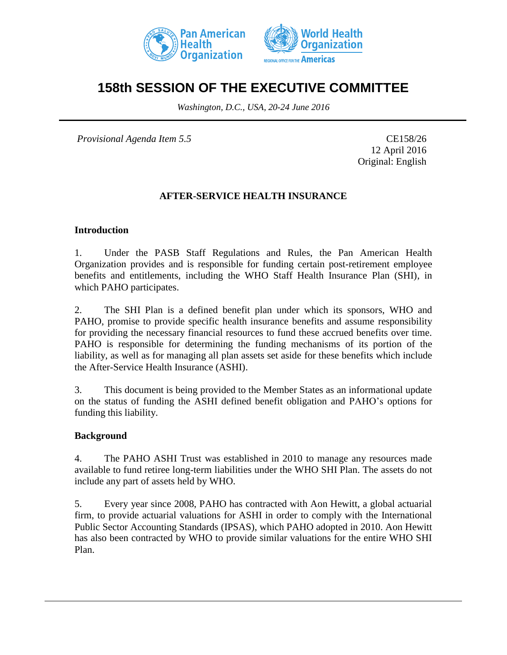



# **158th SESSION OF THE EXECUTIVE COMMITTEE**

*Washington, D.C., USA, 20-24 June 2016*

*Provisional Agenda Item 5.5* CE158/26

12 April 2016 Original: English

## **AFTER-SERVICE HEALTH INSURANCE**

### **Introduction**

1. Under the PASB Staff Regulations and Rules, the Pan American Health Organization provides and is responsible for funding certain post-retirement employee benefits and entitlements, including the WHO Staff Health Insurance Plan (SHI), in which PAHO participates.

2. The SHI Plan is a defined benefit plan under which its sponsors, WHO and PAHO, promise to provide specific health insurance benefits and assume responsibility for providing the necessary financial resources to fund these accrued benefits over time. PAHO is responsible for determining the funding mechanisms of its portion of the liability, as well as for managing all plan assets set aside for these benefits which include the After-Service Health Insurance (ASHI).

3. This document is being provided to the Member States as an informational update on the status of funding the ASHI defined benefit obligation and PAHO's options for funding this liability.

#### **Background**

4. The PAHO ASHI Trust was established in 2010 to manage any resources made available to fund retiree long-term liabilities under the WHO SHI Plan. The assets do not include any part of assets held by WHO.

5. Every year since 2008, PAHO has contracted with Aon Hewitt, a global actuarial firm, to provide actuarial valuations for ASHI in order to comply with the International Public Sector Accounting Standards (IPSAS), which PAHO adopted in 2010. Aon Hewitt has also been contracted by WHO to provide similar valuations for the entire WHO SHI Plan.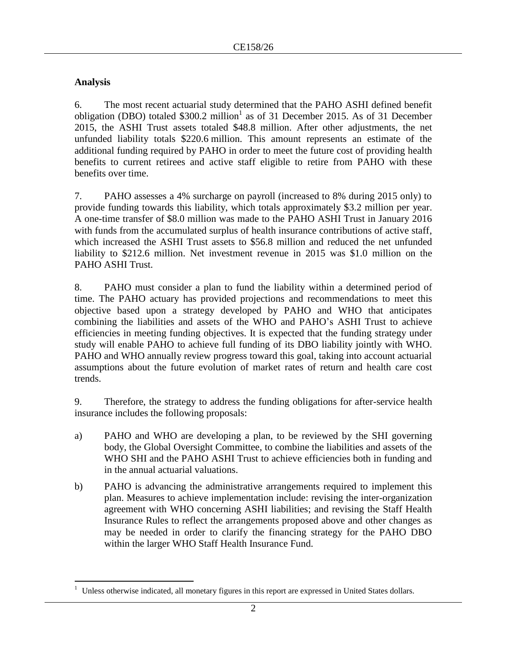## **Analysis**

 $\overline{a}$ 

6. The most recent actuarial study determined that the PAHO ASHI defined benefit obligation (DBO) totaled  $$300.2 \text{ million}^1$  as of 31 December 2015. As of 31 December 2015, the ASHI Trust assets totaled \$48.8 million. After other adjustments, the net unfunded liability totals \$220.6 million. This amount represents an estimate of the additional funding required by PAHO in order to meet the future cost of providing health benefits to current retirees and active staff eligible to retire from PAHO with these benefits over time.

7. PAHO assesses a 4% surcharge on payroll (increased to 8% during 2015 only) to provide funding towards this liability, which totals approximately \$3.2 million per year. A one-time transfer of \$8.0 million was made to the PAHO ASHI Trust in January 2016 with funds from the accumulated surplus of health insurance contributions of active staff, which increased the ASHI Trust assets to \$56.8 million and reduced the net unfunded liability to \$212.6 million. Net investment revenue in 2015 was \$1.0 million on the PAHO ASHI Trust.

8. PAHO must consider a plan to fund the liability within a determined period of time. The PAHO actuary has provided projections and recommendations to meet this objective based upon a strategy developed by PAHO and WHO that anticipates combining the liabilities and assets of the WHO and PAHO's ASHI Trust to achieve efficiencies in meeting funding objectives. It is expected that the funding strategy under study will enable PAHO to achieve full funding of its DBO liability jointly with WHO. PAHO and WHO annually review progress toward this goal, taking into account actuarial assumptions about the future evolution of market rates of return and health care cost trends.

9. Therefore, the strategy to address the funding obligations for after-service health insurance includes the following proposals:

- a) PAHO and WHO are developing a plan, to be reviewed by the SHI governing body, the Global Oversight Committee, to combine the liabilities and assets of the WHO SHI and the PAHO ASHI Trust to achieve efficiencies both in funding and in the annual actuarial valuations.
- b) PAHO is advancing the administrative arrangements required to implement this plan. Measures to achieve implementation include: revising the inter-organization agreement with WHO concerning ASHI liabilities; and revising the Staff Health Insurance Rules to reflect the arrangements proposed above and other changes as may be needed in order to clarify the financing strategy for the PAHO DBO within the larger WHO Staff Health Insurance Fund.

Unless otherwise indicated, all monetary figures in this report are expressed in United States dollars.